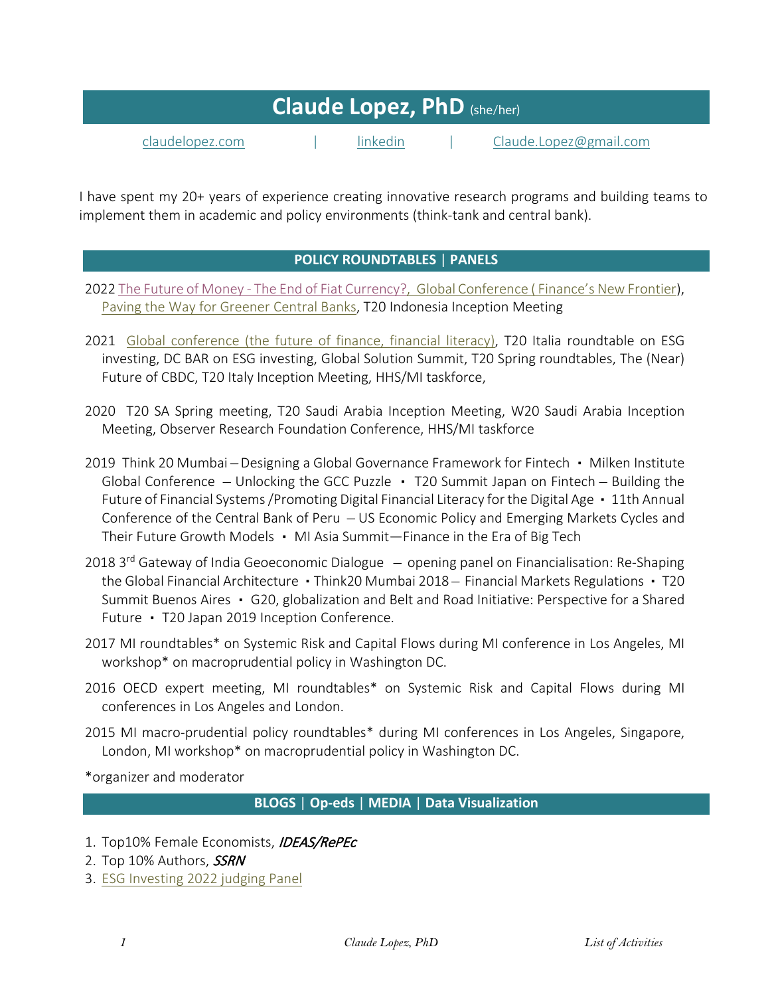| <b>Claude Lopez, PhD</b> (she/her) |  |          |  |                        |
|------------------------------------|--|----------|--|------------------------|
| claudelopez.com                    |  | linkedin |  | Claude.Lopez@gmail.com |

I have spent my 20+ years of experience creating innovative research programs and building teams to implement them in academic and policy environments (think-tank and central bank).

# **POLICY ROUNDTABLES** | **PANELS**

- 2022 The Future of Money [The End of Fiat Currency?,](https://www.linkedin.com/events/thefutureofmoney-theendoffiatcu6920920862267248640/about/) [Global Conference \( Finance's New Frontier\)](https://milkeninstitute.org/video/finances-new-frontier), [Paving the Way for Greener Central Banks,](https://claudelopez.com/2022/04/06/paving-the-way-for-greener-central-banks/) T20 Indonesia Inception Meeting
- 2021 [Global conference \(the future of finance, financial literacy\),](https://claudelopez.com/2021/11/01/global-conference-2021/) T20 Italia roundtable on ESG investing, DC BAR on ESG investing, Global Solution Summit, T20 Spring roundtables, The (Near) Future of CBDC, T20 Italy Inception Meeting, HHS/MI taskforce,
- 2020 T20 SA Spring meeting, T20 Saudi Arabia Inception Meeting, W20 Saudi Arabia Inception Meeting, Observer Research Foundation Conference, HHS/MI taskforce
- 2019 Think 20 Mumbai Designing a Global Governance Framework for Fintech Milken Institute Global Conference  $-$  Unlocking the GCC Puzzle  $\cdot$  T20 Summit Japan on Fintech  $-$  Building the Future of Financial Systems /Promoting Digital Financial Literacy for the Digital Age • 11th Annual Conference of the Central Bank of Peru ̶ US Economic Policy and Emerging Markets Cycles and Their Future Growth Models ▪ MI Asia Summit—Finance in the Era of Big Tech
- 2018  $3<sup>rd</sup>$  Gateway of India Geoeconomic Dialogue  $-$  opening panel on Financialisation: Re-Shaping the Global Financial Architecture • Think20 Mumbai 2018 – Financial Markets Regulations • T20 Summit Buenos Aires • G20, globalization and Belt and Road Initiative: Perspective for a Shared Future • T20 Japan 2019 Inception Conference.
- 2017 MI roundtables\* on Systemic Risk and Capital Flows during MI conference in Los Angeles, MI workshop\* on macroprudential policy in Washington DC.
- 2016 OECD expert meeting, MI roundtables\* on Systemic Risk and Capital Flows during MI conferences in Los Angeles and London.
- 2015 MI macro-prudential policy roundtables\* during MI conferences in Los Angeles, Singapore, London, MI workshop\* on macroprudential policy in Washington DC.

\*organizer and moderator

# **BLOGS** | **Op-eds** | **MEDIA** | **Data Visualization**

- 1. Top10% Female Economists, IDEAS/RePEc
- 2. Top 10% Authors, **SSRN**
- 3. [ESG Investing 2022 judging Panel](https://www.esginvesting.co.uk/2022judging-panel/)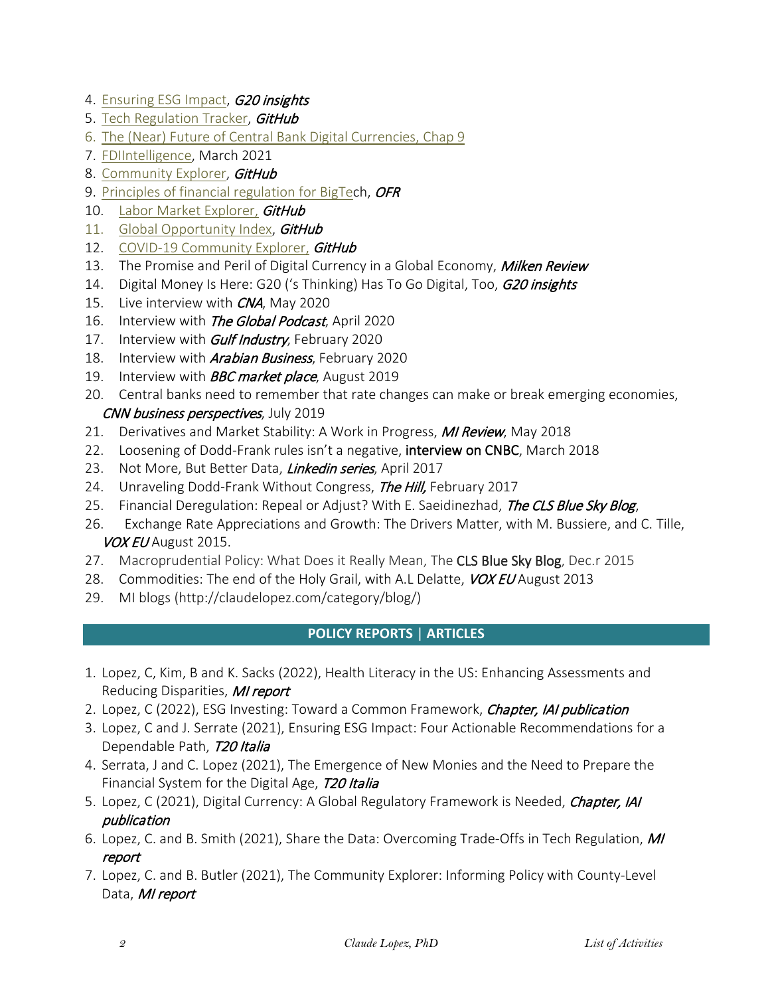- 4. [Ensuring ESG Impact,](https://www.g20-insights.org/policy_briefs/ensuring-esg-impact-four-actionable-recommendations-for-a-dependable-path/) **G20 insights**
- 5. [Tech Regulation Tracker,](https://miresearch.github.io/Tech-Regulation/) GitHub
- 6. [The \(Near\) Future of Central Bank Digital Currencies, Chap 9](https://www.iai.it/en/pubblicazioni/near-future-central-bank-digital-currencies)
- 7. [FDIIntelligence,](https://www.fdiintelligence.com/article/79508) March 2021
- 8. [Community Explorer,](https://miresearch.github.io/Community-Explorer/) GitHub
- 9. [Principles of financial regulation for BigTec](https://www.orfonline.org/expert-speak/principles-financial-regulation-big-tech/)h, OFR
- 10. [Labor Market Explorer,](https://miresearch.github.io/Labor-Market-Explorer/) GitHub
- 11. [Global Opportunity Index,](https://miresearch.github.io/Global-Opportunity-Index/) GitHub
- 12. [COVID-19 Community Explorer,](https://miresearch.github.io/MI-COVID-19-Community-Explorer/) GitHub
- 13. [The Promise and Peril of Digital Currency in a Global Economy,](https://www.milkenreview.org/articles/the-promise-and-peril-of-digital-currency-in-a-global-economy#.X72jxvfMmD8.linkedin) Milken Review
- 14. Digital Money Is Here: G20 ('s Thinking) Has To Go Digital, Too, G20 insights
- 15. Live interview with *CNA*, May 2020
- 16. Interview with *The Global Podcast*, April 2020
- 17. Interview with *Gulf Industry*, February 2020
- 18. Interview with **Arabian Business**, February 2020
- 19. Interview with **BBC market place**, August 2019
- 20. [Central banks need to remember that rate changes can make or break emerging economies,](http://claudelopez.com/2019/07/23/central-banks-need-to-remember-that-rate-changes-can-make-or-break-emerging-economies/) CNN business perspectives, July 2019
- 21. Derivatives and Market Stability: A Work in Progress, MI Review, May 2018
- 22. [Loosening of Dodd-Frank rules isn't a negative, i](https://www.cnbc.com/video/2018/03/14/loosening-of-dodd-frank-rules-isnt-a-negative-researcher.html?__source=cnbcembedplayer)nterview on [CNBC,](http://www.cnbc.com/?__source=cnbcembedplayer) March 2018
- 23. Not More, But Better Data, Linkedin series, April 2017
- 24. Unraveling Dodd-Frank Without Congress, *The Hill*, February 2017
- 25. [Financial Deregulation: Repeal or Adjust?](http://clsbluesky.law.columbia.edu/2017/02/06/financial-deregulation-repeal-or-adjust/) With E. Saeidinezhad, The CLS Blue Sky Blog,
- 26. Exchange Rate Appreciations and Growth: The Drivers Matter, with M. Bussiere, and C. Tille, VOX EU August 2015.
- 27. Macroprudential Policy: What Does it Really Mean, The CLS Blue Sky Blog, Dec.r 2015
- 28. Commodities: The end of the Holy Grail, with A.L Delatte, VOX EU August 2013
- 29. MI blogs [\(http://claudelopez.com/category/blog/\)](http://claudelopez.com/category/blog/)

# **POLICY REPORTS** | **ARTICLES**

- 1. Lopez, C, Kim, B and K. Sacks (2022), Health Literacy in the US: Enhancing Assessments and Reducing Disparities, MI report
- 2. Lopez, C (2022), ESG Investing: Toward a Common Framework, *Chapter, IAI publication*
- 3. Lopez, C and J. Serrate (2021), Ensuring ESG Impact: Four Actionable Recommendations for a Dependable Path, 720 Italia
- 4. Serrata, J and C. Lopez (2021), The Emergence of New Monies and the Need to Prepare the Financial System for the Digital Age, T20 Italia
- 5. Lopez, C (2021), Digital Currency: A Global Regulatory Framework is Needed, *Chapter, IAI* publication
- 6. Lopez, C. and B. Smith (2021), Share the Data: Overcoming Trade-Offs in Tech Regulation, MI report
- 7. Lopez, C. and B. Butler (2021), The Community Explorer: Informing Policy with County-Level Data, MI report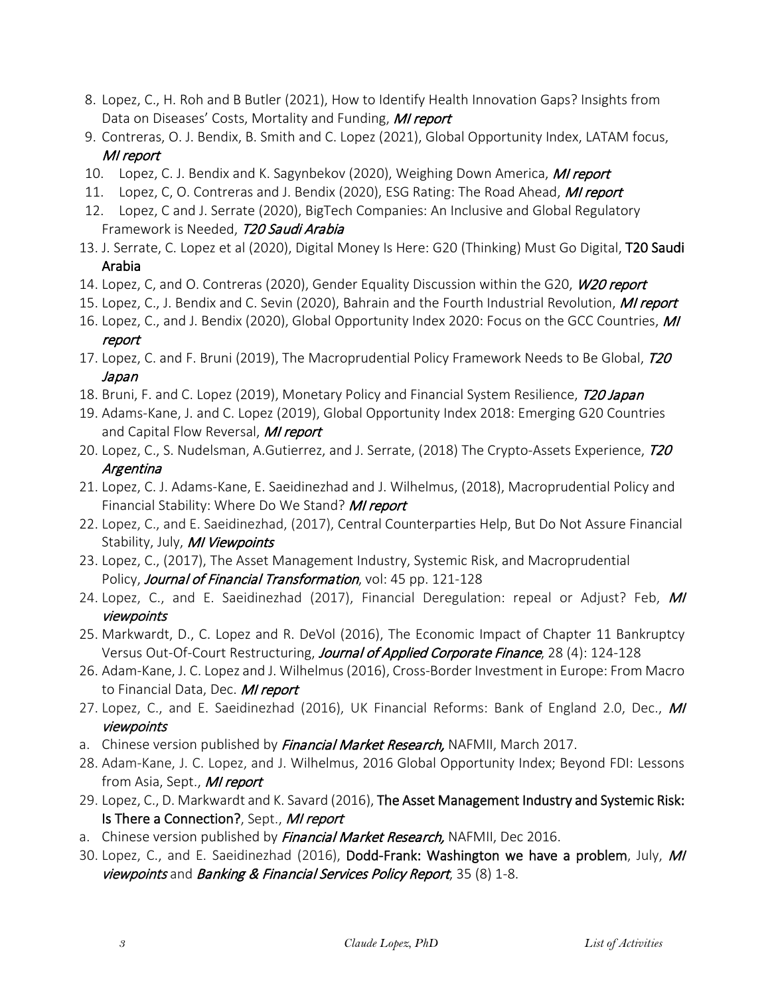- 8. Lopez, C., H. Roh and B Butler (2021), How to Identify Health Innovation Gaps? Insights from Data on Diseases' Costs, Mortality and Funding, MI report
- 9. Contreras, O. J. Bendix, B. Smith and C. Lopez (2021), Global Opportunity Index, LATAM focus, MI report
- 10. Lopez, C. J. Bendix and K. Sagynbekov (2020), Weighing Down America, MI report
- 11. Lopez, C, O. Contreras and J. Bendix (2020), ESG Rating: The Road Ahead, MI report
- 12. Lopez, C and J. Serrate (2020), BigTech Companies: An Inclusive and Global Regulatory Framework is Needed, T20 Saudi Arabia
- 13. J. Serrate, C. Lopez et al (2020), Digital Money Is Here: G20 (Thinking) Must Go Digital, T20 Saudi Arabia
- 14. Lopez, C, and O. Contreras (2020), Gender Equality Discussion within the G20, W20 report
- 15. Lopez, C., J. Bendix and C. Sevin (2020), Bahrain and the Fourth Industrial Revolution, *MI report*
- 16. Lopez, C., and J. Bendix (2020), Global Opportunity Index 2020: Focus on the GCC Countries, MI report
- 17. Lopez, C. and F. Bruni (2019), The Macroprudential Policy Framework Needs to Be Global, T20 Japan
- 18. Bruni, F. and C. Lopez (2019), Monetary Policy and Financial System Resilience, T20 Japan
- 19. Adams-Kane, J. and C. Lopez (2019), Global Opportunity Index 2018: Emerging G20 Countries and Capital Flow Reversal, MI report
- 20. Lopez, C., S. Nudelsman, A.Gutierrez, and J. Serrate, (2018) The Crypto-Assets Experience, T20 Argentina
- 21. Lopez, C. J. Adams-Kane, E. Saeidinezhad and J. Wilhelmus, (2018), Macroprudential Policy and Financial Stability: Where Do We Stand? MI report
- 22. Lopez, C., and E. Saeidinezhad, (2017), [Central Counterparties Help, But Do Not Assure Financial](http://assets1c.milkeninstitute.org/assets/Publication/ResearchReport/PDF/071917-Central-Counterparties-and-Financial-Stability.pdf)  [Stability,](http://assets1c.milkeninstitute.org/assets/Publication/ResearchReport/PDF/071917-Central-Counterparties-and-Financial-Stability.pdf) July, MI Viewpoints
- 23. Lopez, C., (2017), The Asset Management Industry, Systemic Risk, and Macroprudential Policy, Journal of Financial Transformation, vol: 45 pp. 121-128
- 24. Lopez, C., and E. Saeidinezhad (2017), Financial Deregulation: repeal or Adjust? Feb, MI viewpoints
- 25. Markwardt, D., C. Lopez and R. DeVol (2016), The Economic Impact of Chapter 11 Bankruptcy Versus Out-Of-Court Restructuring, Journal of Applied Corporate Finance, 28 (4): 124-128
- 26. Adam-Kane, J. C. Lopez and J. Wilhelmus (2016), Cross-Border Investment in Europe: From Macro to Financial Data, Dec. MI report
- 27. Lopez, C., and E. Saeidinezhad (2016), UK Financial Reforms: Bank of England 2.0, Dec., MI viewpoints
- a. Chinese version published by *Financial Market Research*, NAFMII, March 2017.
- 28. Adam-Kane, J. C. Lopez, and J. Wilhelmus, 2016 Global Opportunity Index; Beyond FDI: Lessons from Asia, Sept., MI report
- 29. Lopez, C., D. Markwardt and K. Savard (2016), The Asset Management Industry and Systemic Risk: [Is There a Connection?,](http://papers.ssrn.com/sol3/papers.cfm?abstract_id=2801358) Sept., MI report
- a. Chinese version published by *Financial Market Research,* NAFMII, Dec 2016.
- 30. Lopez, C., and E. Saeidinezhad (2016), [Dodd-Frank: Washington we have a problem,](http://papers.ssrn.com/sol3/papers.cfm?abstract_id=2801324) July, MI viewpoints and Banking & Financial Services Policy Report, 35 (8) 1-8.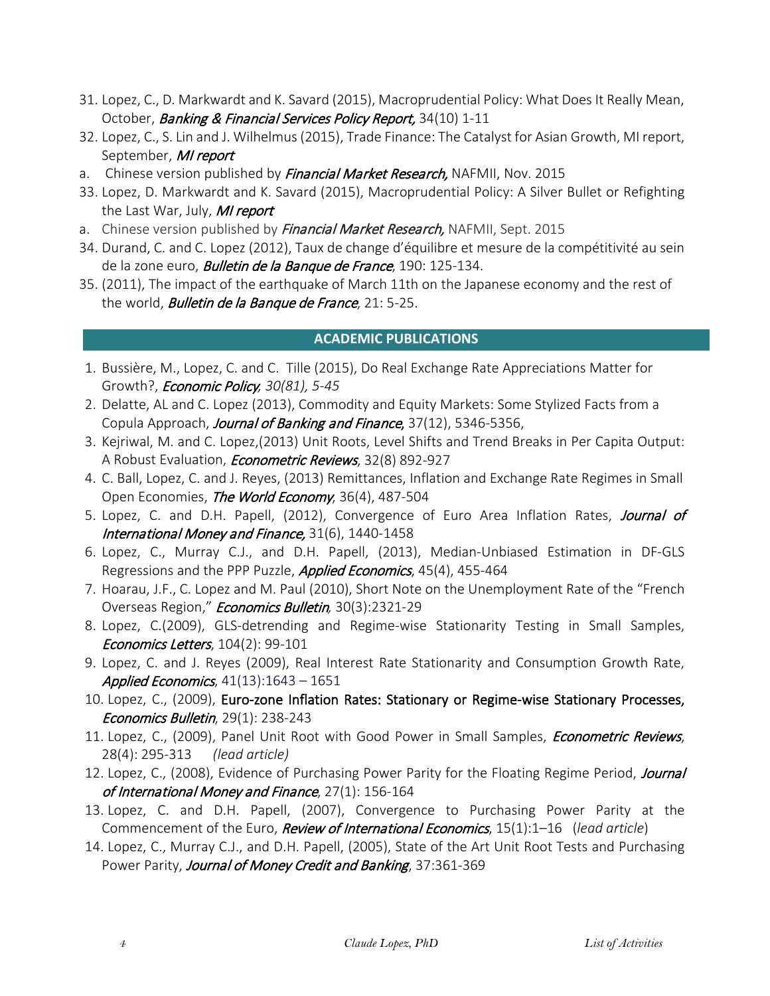- 31. Lopez, C., D. Markwardt and K. Savard (2015), Macroprudential Policy: What Does It Really Mean, October, Banking & Financial Services Policy Report, 34(10) 1-11
- 32. Lopez, C., S. Lin and J. Wilhelmus (2015), Trade Finance: The Catalyst for Asian Growth, MI report, September, MI report
- a. Chinese version published by *Financial Market Research*, NAFMII, Nov. 2015
- 33. Lopez, D. Markwardt and K. Savard (2015), Macroprudential Policy: A Silver Bullet or Refighting the Last War, July, MI report
- a. Chinese version published by *Financial Market Research*, NAFMII, Sept. 2015
- 34. Durand, C. and C. Lopez (2012), Taux de change d'équilibre et mesure de la compétitivité au sein de la zone euro, **Bulletin de la Banque de France**, 190: 125-134.
- 35. (2011), The impact of the earthquake of March 11th on the Japanese economy and the rest of the world, **Bulletin de la Banque de France**, 21: 5-25.

# **ACADEMIC PUBLICATIONS**

- 1. Bussière, M., Lopez, C. and C. Tille (2015), Do Real Exchange Rate Appreciations Matter for Growth?, Economic Policy*, 30(81), 5-45*
- 2. Delatte, AL and C. Lopez (2013), Commodity and Equity Markets: Some Stylized Facts from a Copula Approach, Journal of Banking and Finance, 37(12), 5346-5356,
- 3. Kejriwal, M. and C. Lopez,(2013) Unit Roots, Level Shifts and Trend Breaks in Per Capita Output: A Robust Evaluation, *Econometric Reviews*, 32(8) 892-927
- 4. C. Ball, Lopez, C. and J. Reyes, (2013) Remittances, Inflation and Exchange Rate Regimes in Small Open Economies, The World Economy, 36(4), 487-504
- 5. Lopez, C. and D.H. Papell, (2012), Convergence of Euro Area Inflation Rates, Journal of International Money and Finance, 31(6), 1440-1458
- 6. Lopez, C., Murray C.J., and D.H. Papell, (2013), Median-Unbiased Estimation in DF-GLS Regressions and the PPP Puzzle, *Applied Economics*, 45(4), 455-464
- 7. Hoarau, J.F., C. Lopez and M. Paul (2010), Short Note on the Unemployment Rate of the "French Overseas Region," Economics Bulletin*,* 30(3):2321-29
- 8. Lopez, C.(2009), GLS-detrending and Regime-wise Stationarity Testing in Small Samples, Economics Letters, 104(2): 99-101
- 9. Lopez, C. and J. Reyes (2009), Real Interest Rate Stationarity and Consumption Growth Rate, Applied Economics,  $41(13):1643 - 1651$
- 10. Lopez, C., (2009), Euro-zone Inflation Rates: Stationary or Regime-wise Stationary Processes, Economics Bulletin, 29(1): 238-243
- 11. Lopez, C., (2009), Panel Unit Root with Good Power in Small Samples, *Econometric Reviews*, 28(4): 295-313 *(lead article)*
- 12. Lopez, C., (2008), Evidence of Purchasing Power Parity for the Floating Regime Period, Journal of International Money and Finance, 27(1): 156-164
- 13. Lopez, C. and D.H. Papell, (2007), Convergence to Purchasing Power Parity at the Commencement of the Euro, Review of International Economics, 15(1):1–16 (*lead article*)
- 14. Lopez, C., Murray C.J., and D.H. Papell, (2005), State of the Art Unit Root Tests and Purchasing Power Parity, Journal of Money Credit and Banking, 37:361-369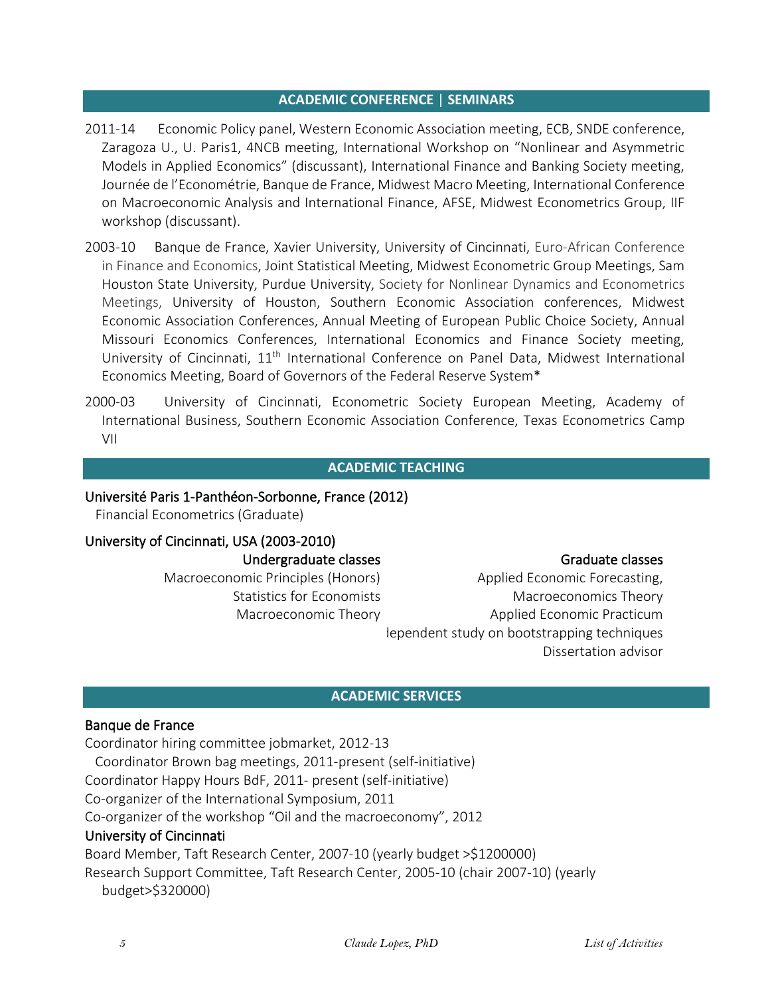#### **ACADEMIC CONFERENCE** | **SEMINARS**

- 2011-14 Economic Policy panel, Western Economic Association meeting, ECB, SNDE conference, Zaragoza U., U. Paris1, 4NCB meeting, International Workshop on "Nonlinear and Asymmetric Models in Applied Economics" (discussant), International Finance and Banking Society meeting, Journée de l'Econométrie, Banque de France, Midwest Macro Meeting, International Conference on Macroeconomic Analysis and International Finance, AFSE, Midwest Econometrics Group, IIF workshop (discussant).
- 2003-10 Banque de France, Xavier University, University of Cincinnati, Euro-African Conference in Finance and Economics, Joint Statistical Meeting, Midwest Econometric Group Meetings, Sam Houston State University, Purdue University, Society for Nonlinear Dynamics and Econometrics Meetings, University of Houston, Southern Economic Association conferences, Midwest Economic Association Conferences, Annual Meeting of European Public Choice Society, Annual Missouri Economics Conferences, International Economics and Finance Society meeting, University of Cincinnati, 11<sup>th</sup> International Conference on Panel Data, Midwest International Economics Meeting, Board of Governors of the Federal Reserve System\*
- 2000-03 University of Cincinnati, Econometric Society European Meeting, Academy of International Business, Southern Economic Association Conference, Texas Econometrics Camp VII

#### **ACADEMIC TEACHING**

### Université Paris 1-Panthéon-Sorbonne, France (2012)

Financial Econometrics (Graduate)

# University of Cincinnati, USA (2003-2010) Undergraduate classes

Macroeconomic Principles (Honors) Statistics for Economists Macroeconomic Theory

Graduate classes

Applied Economic Forecasting, Macroeconomics Theory Applied Economic Practicum dependent study on bootstrapping techniques Dissertation advisor

#### **ACADEMIC SERVICES**

#### Banque de France

Coordinator hiring committee jobmarket, 2012-13 Coordinator Brown bag meetings, 2011-present (self-initiative) Coordinator Happy Hours BdF, 2011- present (self-initiative) Co-organizer of the International Symposium, 2011 Co-organizer of the workshop "Oil and the macroeconomy", 2012 University of Cincinnati Board Member, Taft Research Center, 2007-10 (yearly budget >\$1200000) Research Support Committee, Taft Research Center, 2005-10 (chair 2007-10) (yearly

budget>\$320000)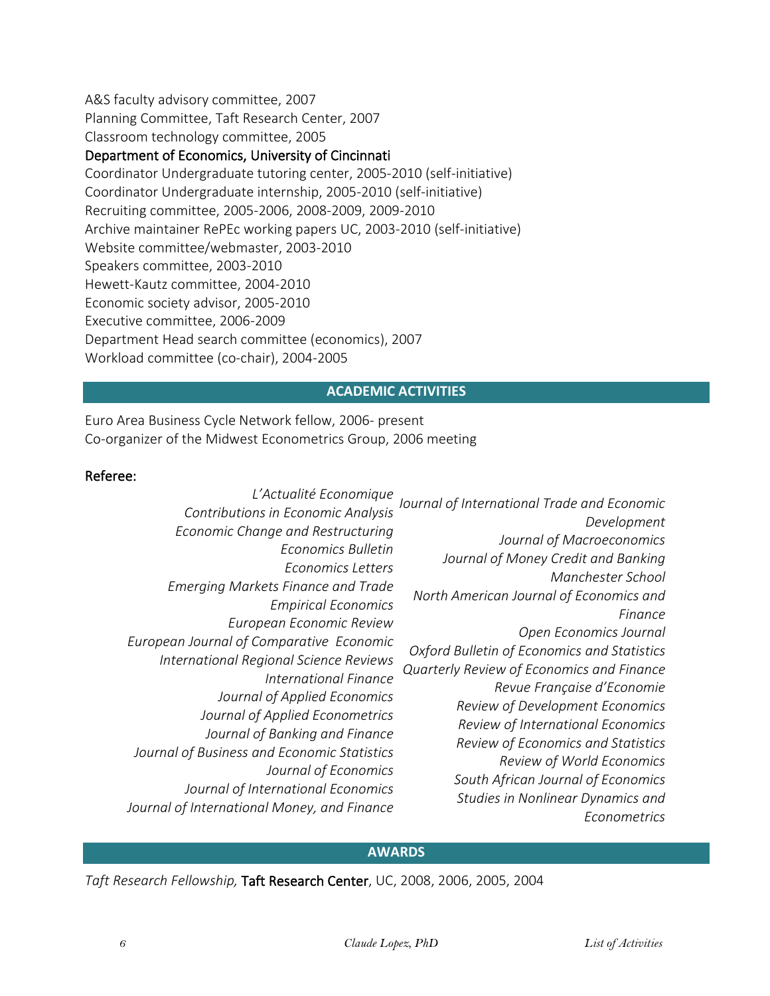A&S faculty advisory committee, 2007 Planning Committee, Taft Research Center, 2007 Classroom technology committee, 2005

# Department of Economics, University of Cincinnati

Coordinator Undergraduate tutoring center, 2005-2010 (self-initiative) Coordinator Undergraduate internship, 2005-2010 (self-initiative) Recruiting committee, 2005-2006, 2008-2009, 2009-2010 Archive maintainer RePEc working papers UC, 2003-2010 (self-initiative) Website committee/webmaster, 2003-2010 Speakers committee, 2003-2010 Hewett-Kautz committee, 2004-2010 Economic society advisor, 2005-2010 Executive committee, 2006-2009 Department Head search committee (economics), 2007 Workload committee (co-chair), 2004-2005

# **ACADEMIC ACTIVITIES**

Euro Area Business Cycle Network fellow, 2006- present Co-organizer of the Midwest Econometrics Group, 2006 meeting

# Referee:

### **AWARDS**

*Taft Research Fellowship,* [Taft Research Center,](http://www.artsci.uc.edu/taft/RFP_Taft2006.pdf) UC, 2008, 2006, 2005, 2004